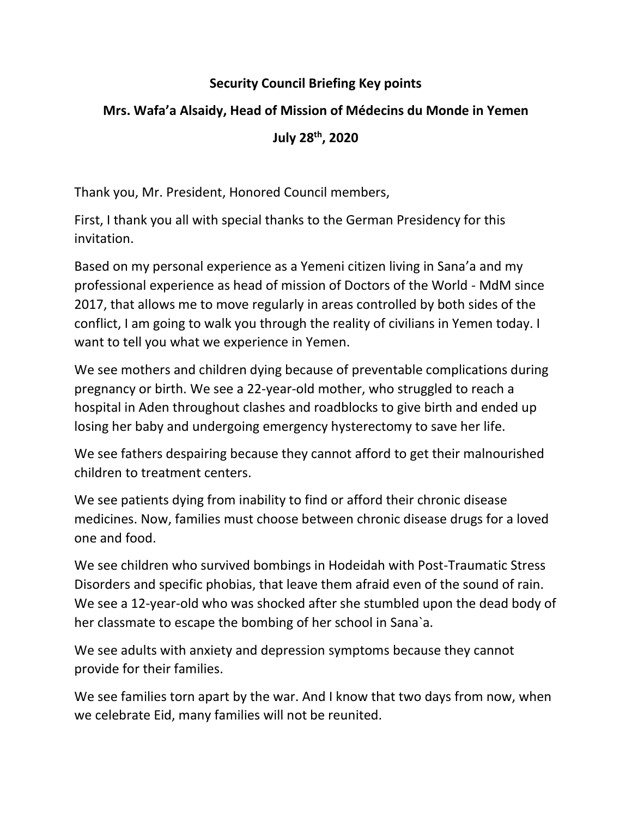#### **Security Council Briefing Key points**

# **Mrs. Wafa'a Alsaidy, Head of Mission of Médecins du Monde in Yemen July 28th, 2020**

Thank you, Mr. President, Honored Council members,

First, I thank you all with special thanks to the German Presidency for this invitation.

Based on my personal experience as a Yemeni citizen living in Sana'a and my professional experience as head of mission of Doctors of the World - MdM since 2017, that allows me to move regularly in areas controlled by both sides of the conflict, I am going to walk you through the reality of civilians in Yemen today. I want to tell you what we experience in Yemen.

We see mothers and children dying because of preventable complications during pregnancy or birth. We see a 22-year-old mother, who struggled to reach a hospital in Aden throughout clashes and roadblocks to give birth and ended up losing her baby and undergoing emergency hysterectomy to save her life.

We see fathers despairing because they cannot afford to get their malnourished children to treatment centers.

We see patients dying from inability to find or afford their chronic disease medicines. Now, families must choose between chronic disease drugs for a loved one and food.

We see children who survived bombings in Hodeidah with Post-Traumatic Stress Disorders and specific phobias, that leave them afraid even of the sound of rain. We see a 12-year-old who was shocked after she stumbled upon the dead body of her classmate to escape the bombing of her school in Sana`a.

We see adults with anxiety and depression symptoms because they cannot provide for their families.

We see families torn apart by the war. And I know that two days from now, when we celebrate Eid, many families will not be reunited.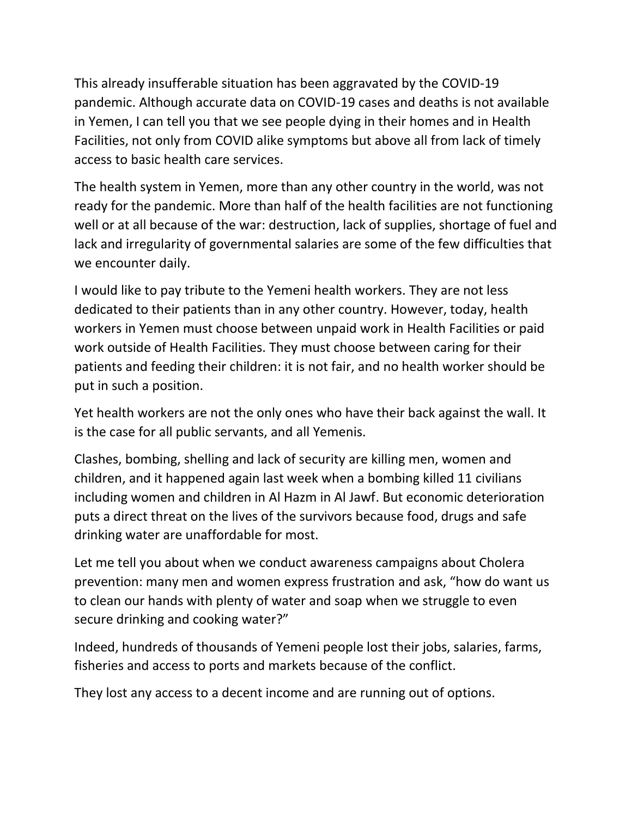This already insufferable situation has been aggravated by the COVID-19 pandemic. Although accurate data on COVID-19 cases and deaths is not available in Yemen, I can tell you that we see people dying in their homes and in Health Facilities, not only from COVID alike symptoms but above all from lack of timely access to basic health care services.

The health system in Yemen, more than any other country in the world, was not ready for the pandemic. More than half of the health facilities are not functioning well or at all because of the war: destruction, lack of supplies, shortage of fuel and lack and irregularity of governmental salaries are some of the few difficulties that we encounter daily.

I would like to pay tribute to the Yemeni health workers. They are not less dedicated to their patients than in any other country. However, today, health workers in Yemen must choose between unpaid work in Health Facilities or paid work outside of Health Facilities. They must choose between caring for their patients and feeding their children: it is not fair, and no health worker should be put in such a position.

Yet health workers are not the only ones who have their back against the wall. It is the case for all public servants, and all Yemenis.

Clashes, bombing, shelling and lack of security are killing men, women and children, and it happened again last week when a bombing killed 11 civilians including women and children in Al Hazm in Al Jawf. But economic deterioration puts a direct threat on the lives of the survivors because food, drugs and safe drinking water are unaffordable for most.

Let me tell you about when we conduct awareness campaigns about Cholera prevention: many men and women express frustration and ask, "how do want us to clean our hands with plenty of water and soap when we struggle to even secure drinking and cooking water?"

Indeed, hundreds of thousands of Yemeni people lost their jobs, salaries, farms, fisheries and access to ports and markets because of the conflict.

They lost any access to a decent income and are running out of options.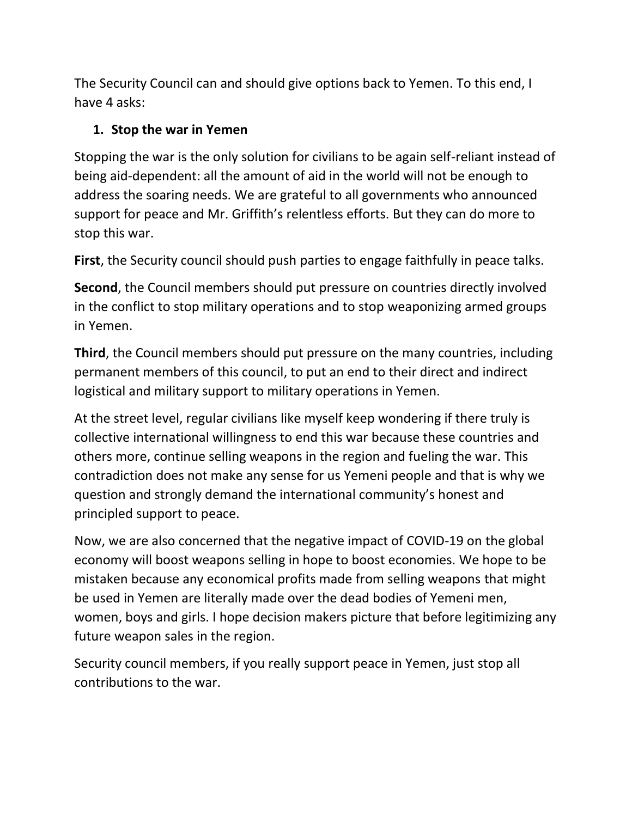The Security Council can and should give options back to Yemen. To this end, I have 4 asks:

#### **1. Stop the war in Yemen**

Stopping the war is the only solution for civilians to be again self-reliant instead of being aid-dependent: all the amount of aid in the world will not be enough to address the soaring needs. We are grateful to all governments who announced support for peace and Mr. Griffith's relentless efforts. But they can do more to stop this war.

**First**, the Security council should push parties to engage faithfully in peace talks.

**Second**, the Council members should put pressure on countries directly involved in the conflict to stop military operations and to stop weaponizing armed groups in Yemen.

**Third**, the Council members should put pressure on the many countries, including permanent members of this council, to put an end to their direct and indirect logistical and military support to military operations in Yemen.

At the street level, regular civilians like myself keep wondering if there truly is collective international willingness to end this war because these countries and others more, continue selling weapons in the region and fueling the war. This contradiction does not make any sense for us Yemeni people and that is why we question and strongly demand the international community's honest and principled support to peace.

Now, we are also concerned that the negative impact of COVID-19 on the global economy will boost weapons selling in hope to boost economies. We hope to be mistaken because any economical profits made from selling weapons that might be used in Yemen are literally made over the dead bodies of Yemeni men, women, boys and girls. I hope decision makers picture that before legitimizing any future weapon sales in the region.

Security council members, if you really support peace in Yemen, just stop all contributions to the war.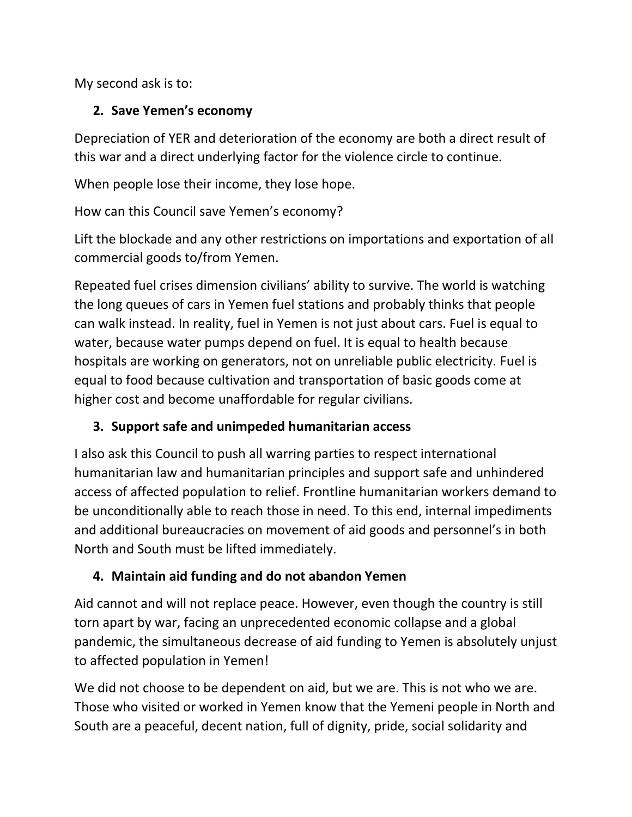My second ask is to:

### **2. Save Yemen's economy**

Depreciation of YER and deterioration of the economy are both a direct result of this war and a direct underlying factor for the violence circle to continue.

When people lose their income, they lose hope.

How can this Council save Yemen's economy?

Lift the blockade and any other restrictions on importations and exportation of all commercial goods to/from Yemen.

Repeated fuel crises dimension civilians' ability to survive. The world is watching the long queues of cars in Yemen fuel stations and probably thinks that people can walk instead. In reality, fuel in Yemen is not just about cars. Fuel is equal to water, because water pumps depend on fuel. It is equal to health because hospitals are working on generators, not on unreliable public electricity. Fuel is equal to food because cultivation and transportation of basic goods come at higher cost and become unaffordable for regular civilians.

## **3. Support safe and unimpeded humanitarian access**

I also ask this Council to push all warring parties to respect international humanitarian law and humanitarian principles and support safe and unhindered access of affected population to relief. Frontline humanitarian workers demand to be unconditionally able to reach those in need. To this end, internal impediments and additional bureaucracies on movement of aid goods and personnel's in both North and South must be lifted immediately.

## **4. Maintain aid funding and do not abandon Yemen**

Aid cannot and will not replace peace. However, even though the country is still torn apart by war, facing an unprecedented economic collapse and a global pandemic, the simultaneous decrease of aid funding to Yemen is absolutely unjust to affected population in Yemen!

We did not choose to be dependent on aid, but we are. This is not who we are. Those who visited or worked in Yemen know that the Yemeni people in North and South are a peaceful, decent nation, full of dignity, pride, social solidarity and